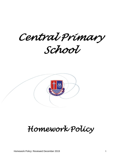*Central Primary School* 



# *Homework Policy*

Homework Policy: Reviewed December 2019 1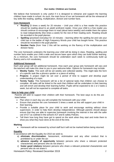### **Our motto: Children are Central.**

We believe that homework is only useful if it is designed to rehearse and support the learning children have made in school. As such, the main focus of our set homework will be the rehearsal of key skills like reading, spelling, multiplication, division and number facts.

#### **Core Homework**

- **Reading** (5 times a week) for 20 minutes Until your child is a free reader this practice should be reading aloud to an adult/ proficient reader. Once your child is a free reader you should continue to encourage them to read (aloud twice weekly) and enable them the space to read independently (five times a week) for the rest of their reading work. Reading should be recorded in the pupil planner.
- **Spelling** (practised everyday) for 10 minutes learning either the spelling list and rule your child has or the ladder of High Frequency Words your child has bought home. This practice should be recorded in the pupil planner.
- **Number Facts** (from Year 2 this will be working on the fluency of the multiplication and division facts)

The core homework underpins the learning your child will be doing in class. Reading, spelling and number facts enable your child a wide and secure base upon which they can build further learning. As a minimum, the core homework should be undertaken each week to continuously build up fluency and a rich vocabulary.

#### **Additional Homework**

Each year group will set additional homework. How each year group sets homework will vary and the teachers will make this clear to you in your welcome letter. Options for homework may include:

- **Weekly Tasks**: This work will be set weekly and collected weekly. This might take the form of a specific task like a phonics spotter or a piece of writing
- **Projects**: A project might be set over a period of time to support and develop pupil understanding of a topic.
- **Termly Tasks**: This homework will be a list of optional tasks that children can choose to complete. All tasks will be linked to the work that children will be undertaken in their learning and will enrich and develop their learning further. Pupils will be expected to do 1 or 2 tasks a week, but will not be expected to complete all tasks.

#### **How to help your child**

Parents will wish to support their children with their homework. The best ways to do this are listed below:

- Plan when in each day you will complete the homework with your child.
- Ensure that practise the core homework 5 times a week as this will support your child in their learning.
- Provide a suitable place for your child to work and encourage working without close supervision, in order to help them develop independence. Although parents should always ensure that they are able to supervise homework involving the internet in line with the safer use of ICT as outlined in the school's ICT and E-safety Policies.
- Tell them how long they have got to spend on the work when they start and invite them to show you what they have done at the end of the time.

#### **Marking**

Homework will be reviewed by school staff but it will not be marked before being returned.

#### **Equality**

In accordance with the Equality Act 2010 we seek to;

- a) **eliminate discrimination**, harassment, victimisation and any other conduct that is prohibited by or under the act
- b) **advance equality of opportunity** between persons who share a relevant protected characteristic and persons who do not share it
- c) **foster good relations** between persons who share a relevant protected characteristic and persons who do not share it

Homework Policy: Reviewed December 2019 2019